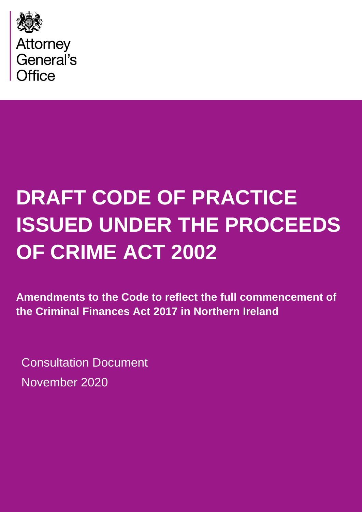

# **DRAFT CODE OF PRACTICE ISSUED UNDER THE PROCEEDS OF CRIME ACT 2002**

**Amendments to the Code to reflect the full commencement of the Criminal Finances Act 2017 in Northern Ireland**

Consultation Document November 2020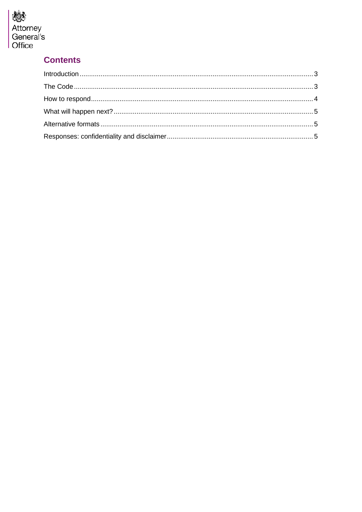

## **Contents**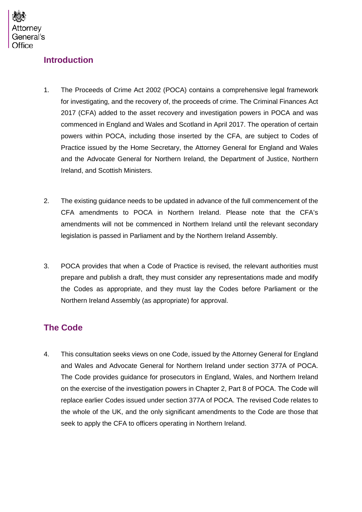

#### <span id="page-2-0"></span>**Introduction**

- 1. The Proceeds of Crime Act 2002 (POCA) contains a comprehensive legal framework for investigating, and the recovery of, the proceeds of crime. The Criminal Finances Act 2017 (CFA) added to the asset recovery and investigation powers in POCA and was commenced in England and Wales and Scotland in April 2017. The operation of certain powers within POCA, including those inserted by the CFA, are subject to Codes of Practice issued by the Home Secretary, the Attorney General for England and Wales and the Advocate General for Northern Ireland, the Department of Justice, Northern Ireland, and Scottish Ministers.
- 2. The existing guidance needs to be updated in advance of the full commencement of the CFA amendments to POCA in Northern Ireland. Please note that the CFA's amendments will not be commenced in Northern Ireland until the relevant secondary legislation is passed in Parliament and by the Northern Ireland Assembly.
- 3. POCA provides that when a Code of Practice is revised, the relevant authorities must prepare and publish a draft, they must consider any representations made and modify the Codes as appropriate, and they must lay the Codes before Parliament or the Northern Ireland Assembly (as appropriate) for approval.

### <span id="page-2-1"></span>**The Code**

4. This consultation seeks views on one Code, issued by the Attorney General for England and Wales and Advocate General for Northern Ireland under section 377A of POCA. The Code provides guidance for prosecutors in England, Wales, and Northern Ireland on the exercise of the investigation powers in Chapter 2, Part 8 of POCA. The Code will replace earlier Codes issued under section 377A of POCA. The revised Code relates to the whole of the UK, and the only significant amendments to the Code are those that seek to apply the CFA to officers operating in Northern Ireland.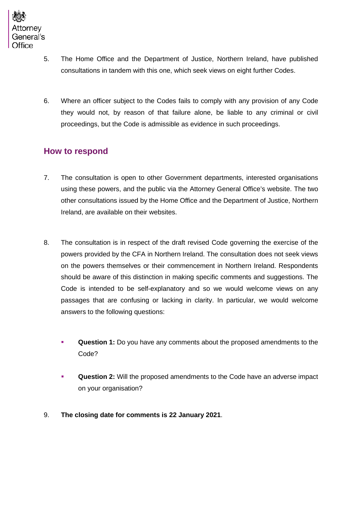

- 5. The Home Office and the Department of Justice, Northern Ireland, have published consultations in tandem with this one, which seek views on eight further Codes.
- 6. Where an officer subject to the Codes fails to comply with any provision of any Code they would not, by reason of that failure alone, be liable to any criminal or civil proceedings, but the Code is admissible as evidence in such proceedings.

#### <span id="page-3-0"></span>**How to respond**

- 7. The consultation is open to other Government departments, interested organisations using these powers, and the public via the Attorney General Office's website. The two other consultations issued by the Home Office and the Department of Justice, Northern Ireland, are available on their websites.
- 8. The consultation is in respect of the draft revised Code governing the exercise of the powers provided by the CFA in Northern Ireland. The consultation does not seek views on the powers themselves or their commencement in Northern Ireland. Respondents should be aware of this distinction in making specific comments and suggestions. The Code is intended to be self-explanatory and so we would welcome views on any passages that are confusing or lacking in clarity. In particular, we would welcome answers to the following questions:
	- **Question 1:** Do you have any comments about the proposed amendments to the Code?
	- **Question 2:** Will the proposed amendments to the Code have an adverse impact on your organisation?
- 9. **The closing date for comments is 22 January 2021**.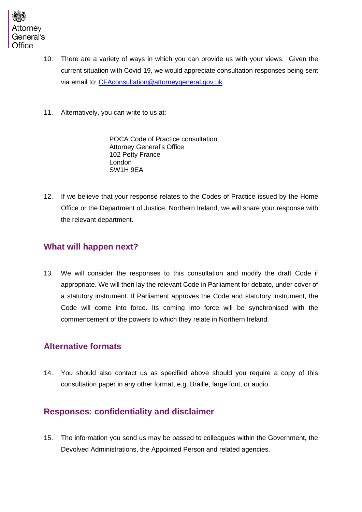

- 10. There are a variety of ways in which you can provide us with your views. Given the current situation with Covid-19, we would appreciate consultation responses being sent via email to: [CFAconsultation@attorneygeneral.gov.uk.](mailto:CFAconsultation@attorneygeneral.gov.uk)
- 11. Alternatively, you can write to us at:

POCA Code of Practice consultation Attorney General's Office 102 Petty France London SW1H 9EA

12. If we believe that your response relates to the Codes of Practice issued by the Home Office or the Department of Justice, Northern Ireland, we will share your response with the relevant department.

#### <span id="page-4-0"></span>**What will happen next?**

13. We will consider the responses to this consultation and modify the draft Code if appropriate. We will then lay the relevant Code in Parliament for debate, under cover of a statutory instrument. If Parliament approves the Code and statutory instrument, the Code will come into force. Its coming into force will be synchronised with the commencement of the powers to which they relate in Northern Ireland.

#### <span id="page-4-1"></span>**Alternative formats**

14. You should also contact us as specified above should you require a copy of this consultation paper in any other format, e.g. Braille, large font, or audio.

#### <span id="page-4-2"></span>**Responses: confidentiality and disclaimer**

15. The information you send us may be passed to colleagues within the Government, the Devolved Administrations, the Appointed Person and related agencies.